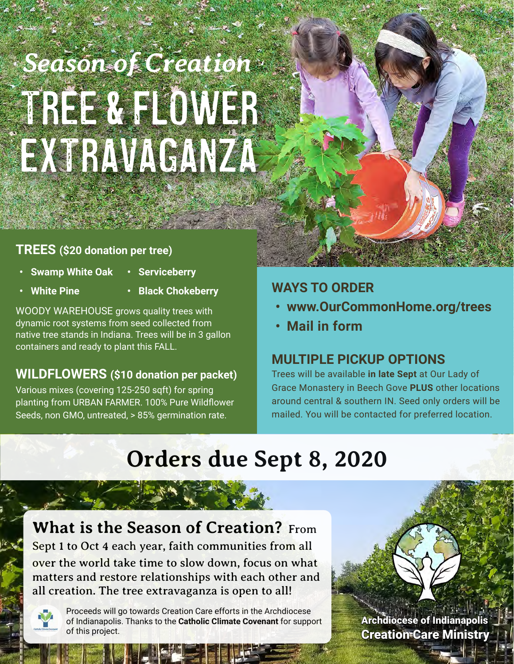# TREE & FLOWER EXTRAVAGANZA *Season of Creation*

# **TREES (\$20 donation per tree)**

- **• Swamp White Oak**
- **• Serviceberry**
- **• White Pine**
- **• Black Chokeberry**

WOODY WAREHOUSE grows quality trees with dynamic root systems from seed collected from native tree stands in Indiana. Trees will be in 3 gallon containers and ready to plant this FALL.

# **WILDFLOWERS (\$10 donation per packet)**

Various mixes (covering 125-250 sqft) for spring planting from URBAN FARMER. 100% Pure Wildflower Seeds, non GMO, untreated, > 85% germination rate.

# **WAYS TO ORDER**

- **• [www.OurCommonHome.org/trees](https://OurCommonHome.org/trees)**
- **• Mail in form**

# **MULTIPLE PICKUP OPTIONS**

Trees will be available **in late Sept** at Our Lady of Grace Monastery in Beech Gove **PLUS** other locations around central & southern IN. Seed only orders will be mailed. You will be contacted for preferred location.

# **Orders due Sept 8, 2020**

**What is the Season of Creation?** From Sept 1 to Oct 4 each year, faith communities from all over the world take time to slow down, focus on what matters and restore relationships with each other and all creation. The tree extravaganza is open to all!



Proceeds will go towards Creation Care efforts in the Archdiocese of Indianapolis. Thanks to the **Catholic Climate Covenant** for support of this project.

A[rchdiocese of Indianapoli](https://ourcommonhome.org)s [Creation Care Ministry](https://ourcommonhome.org)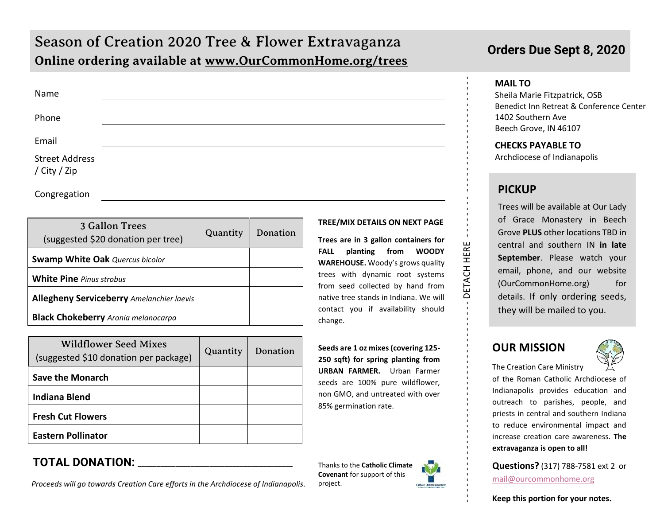# Season of Creation 2020 Tree & Flower Extravaganza **Online ordering available at [www.OurCommonHome.org/trees](http://www.ourcommonhome.org/trees)**

| Name                                  |  |
|---------------------------------------|--|
| Phone                                 |  |
| Email                                 |  |
| <b>Street Address</b><br>/ City / Zip |  |
| Congregation                          |  |

| 3 Gallon Trees<br>(suggested \$20 donation per tree) | Quantity | Donation |
|------------------------------------------------------|----------|----------|
| <b>Swamp White Oak Quercus bicolor</b>               |          |          |
| <b>White Pine Pinus strobus</b>                      |          |          |
| <b>Allegheny Serviceberry Amelanchier laevis</b>     |          |          |
| <b>Black Chokeberry</b> Aronia melanocarpa           |          |          |

| <b>Wildflower Seed Mixes</b><br>(suggested \$10 donation per package) | Quantity | Donation |
|-----------------------------------------------------------------------|----------|----------|
| <b>Save the Monarch</b>                                               |          |          |
| <b>Indiana Blend</b>                                                  |          |          |
| <b>Fresh Cut Flowers</b>                                              |          |          |
| <b>Eastern Pollinator</b>                                             |          |          |

## **TOTAL DONATION:** \_\_\_\_\_\_\_\_\_\_\_\_\_\_\_\_\_\_\_\_\_\_\_\_\_\_\_\_\_\_\_\_\_\_\_\_\_\_\_\_\_

*Proceeds will go towards Creation Care efforts in the Archdiocese of Indianapolis.*

#### **TREE/MIX DETAILS ON NEXT PAGE**

**Trees are in 3 gallon containers for FALL planting from WOODY WAREHOUSE.** Woody's grows quality trees with dynamic root systems from seed collected by hand from native tree stands in Indiana. We will contact you if availability should change.

**Seeds are 1 oz mixes (covering 125- 250 sqft) for spring planting from URBAN FARMER.** Urban Farmer seeds are 100% pure wildflower, non GMO, and untreated with over 85% germination rate.

Thanks to the **Catholic Climate Covenant** for support of this project.

## **Orders Due Sept 8, 2020**

#### **MAIL TO**

Sheila Marie Fitzpatrick, OSB Benedict Inn Retreat & Conference Center 1402 Southern Ave Beech Grove, IN 46107

#### **CHECKS PAYABLE TO**

Archdiocese of Indianapolis

#### **PICKUP**

- - - - - - - - - - - - - - - - - - - - - - - - - - - - - - - - - - - - - DETACH HERE - - - - - - - - - - - - - - - - - - - - - - - - - - - - - -

DETACH HERE

Trees will be available at Our Lady of Grace Monastery in Beech Grove **PLUS** other locations TBD in central and southern IN **in late September**. Please watch your email, phone, and our website (OurCommonHome.org) for details. If only ordering seeds, they will be mailed to you.

#### **OUR MISSION**



The Creation Care Ministry

of the Roman Catholic Archdiocese of Indianapolis provides education and outreach to parishes, people, and priests in central and southern Indiana to reduce environmental impact and increase creation care awareness. **The extravaganza is open to all!**

**Questions?** (317) 788-7581 ext 2 or [mail@ourcommonhome.org](mailto:mail@ourcommonhome.org)